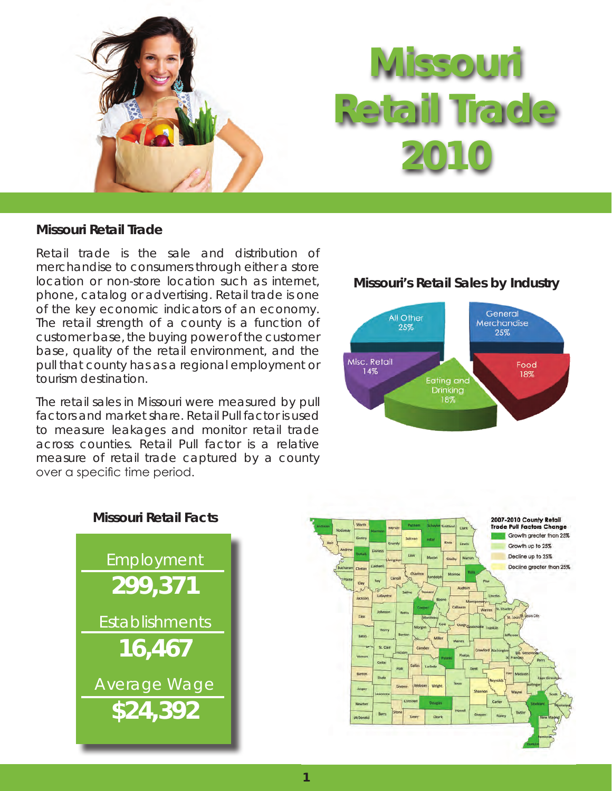

## **Missouri Retail Trade**

Retail trade is the sale and distribution of merchandise to consumers through either a store location or non-store location such as internet, phone, catalog or advertising. Retail trade is one of the key economic indicators of an economy. The retail strength of a county is a function of customer base, the buying power of the customer base, quality of the retail environment, and the pull that county has as a regional employment or tourism destination.

The retail sales in Missouri were measured by pull factors and market share. Retail Pull factor is used to measure leakages and monitor retail trade across counties. Retail Pull factor is a relative measure of retail trade captured by a county over a specific time period.

### **Missouri's Retail Sales by Industry**





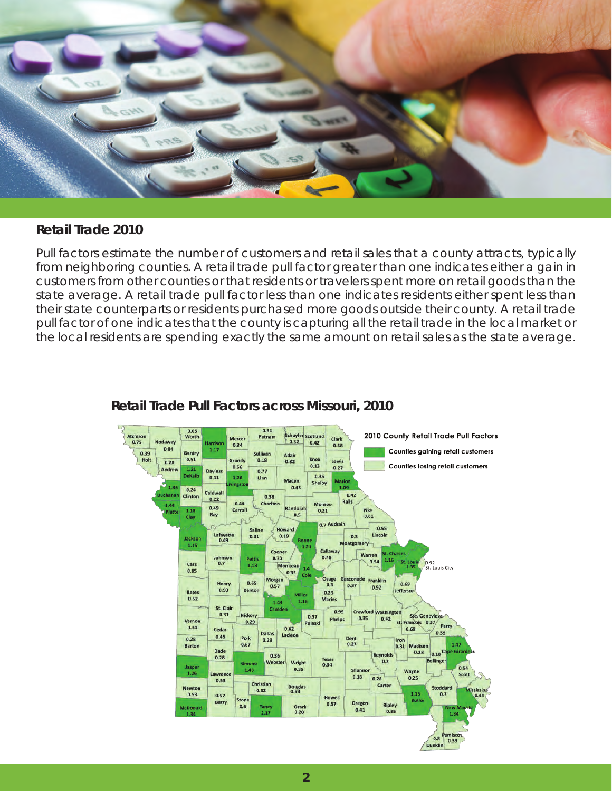

### **Retail Trade 2010**

Pull factors estimate the number of customers and retail sales that a county attracts, typically from neighboring counties. A retail trade pull factor greater than one indicates either a gain in customers from other counties or that residents or travelers spent more on retail goods than the state average. A retail trade pull factor less than one indicates residents either spent less than their state counterparts or residents purchased more goods outside their county. A retail trade pull factor of one indicates that the county is capturing all the retail trade in the local market or the local residents are spending exactly the same amount on retail sales as the state average.



# **Retail Trade Pull Factors across Missouri, 2010**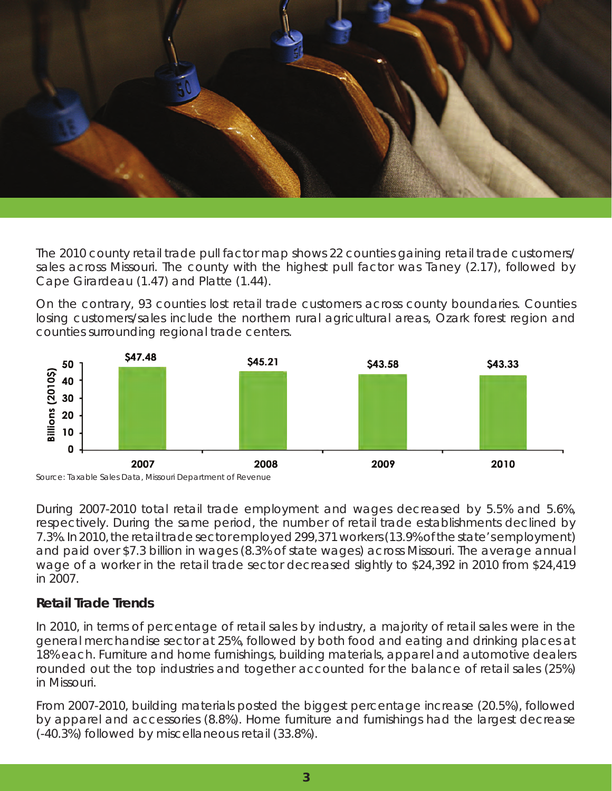

The 2010 county retail trade pull factor map shows 22 counties gaining retail trade customers/ sales across Missouri. The county with the highest pull factor was Taney (2.17), followed by Cape Girardeau (1.47) and Platte (1.44).

On the contrary, 93 counties lost retail trade customers across county boundaries. Counties losing customers/sales include the northern rural agricultural areas, Ozark forest region and counties surrounding regional trade centers.





During 2007-2010 total retail trade employment and wages decreased by 5.5% and 5.6%, respectively. During the same period, the number of retail trade establishments declined by 7.3%. In 2010, the retail trade sector employed 299,371 workers (13.9% of the state's employment) and paid over \$7.3 billion in wages (8.3% of state wages) across Missouri. The average annual wage of a worker in the retail trade sector decreased slightly to \$24,392 in 2010 from \$24,419 in 2007.

# **Retail Trade Trends**

In 2010, in terms of percentage of retail sales by industry, a majority of retail sales were in the general merchandise sector at 25%, followed by both food and eating and drinking places at 18% each. Furniture and home furnishings, building materials, apparel and automotive dealers rounded out the top industries and together accounted for the balance of retail sales (25%) in Missouri.

From 2007-2010, building materials posted the biggest percentage increase (20.5%), followed by apparel and accessories (8.8%). Home furniture and furnishings had the largest decrease (-40.3%) followed by miscellaneous retail (33.8%).